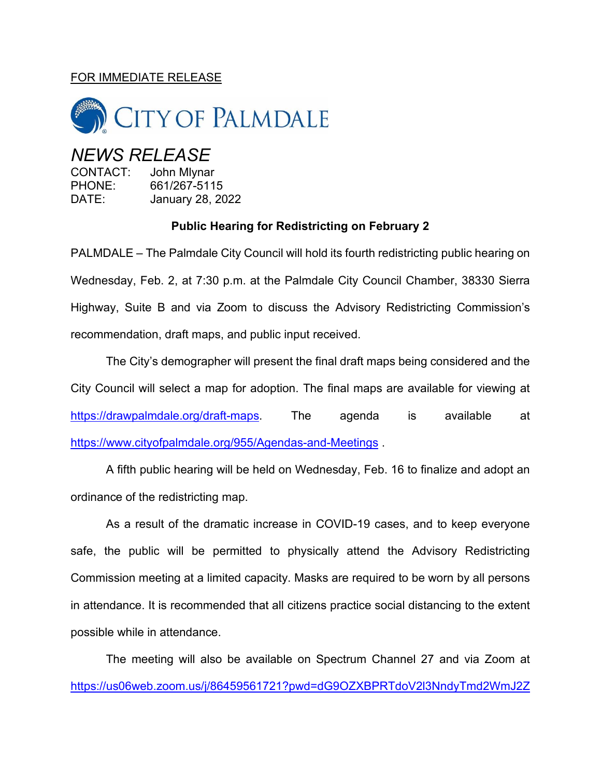## FOR IMMEDIATE RELEASE



## *NEWS RELEASE*

CONTACT: John Mlynar PHONE: 661/267-5115 DATE: January 28, 2022

## **Public Hearing for Redistricting on February 2**

PALMDALE – The Palmdale City Council will hold its fourth redistricting public hearing on Wednesday, Feb. 2, at 7:30 p.m. at the Palmdale City Council Chamber, 38330 Sierra Highway, Suite B and via Zoom to discuss the Advisory Redistricting Commission's recommendation, draft maps, and public input received.

The City's demographer will present the final draft maps being considered and the City Council will select a map for adoption. The final maps are available for viewing at [https://drawpalmdale.org/draft-maps.](https://drawpalmdale.org/draft-maps) The agenda is available at <https://www.cityofpalmdale.org/955/Agendas-and-Meetings> .

A fifth public hearing will be held on Wednesday, Feb. 16 to finalize and adopt an ordinance of the redistricting map.

As a result of the dramatic increase in COVID-19 cases, and to keep everyone safe, the public will be permitted to physically attend the Advisory Redistricting Commission meeting at a limited capacity. Masks are required to be worn by all persons in attendance. It is recommended that all citizens practice social distancing to the extent possible while in attendance.

The meeting will also be available on Spectrum Channel 27 and via Zoom at [https://us06web.zoom.us/j/86459561721?pwd=dG9OZXBPRTdoV2l3NndyTmd2WmJ2Z](https://us06web.zoom.us/j/86459561721?pwd=dG9OZXBPRTdoV2l3NndyTmd2WmJ2Zz09)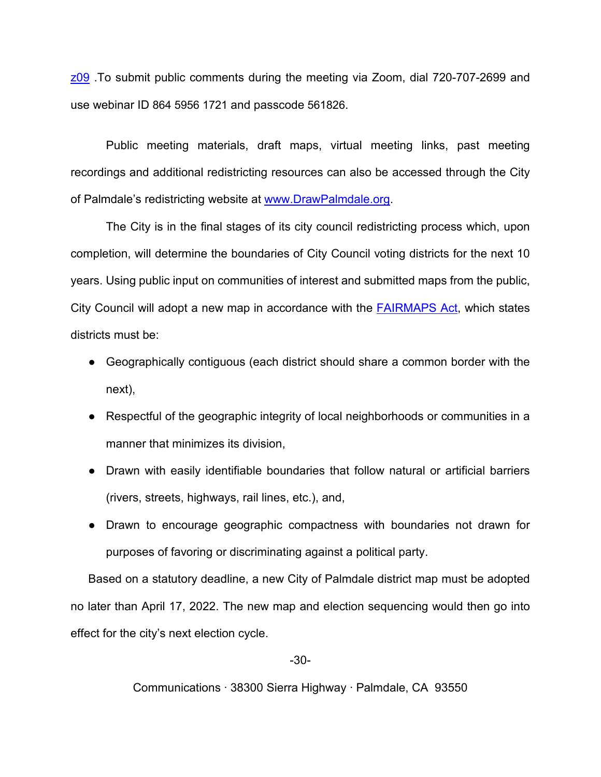[z09](https://us06web.zoom.us/j/86459561721?pwd=dG9OZXBPRTdoV2l3NndyTmd2WmJ2Zz09) .To submit public comments during the meeting via Zoom, dial 720-707-2699 and use webinar ID 864 5956 1721 and passcode 561826.

Public meeting materials, draft maps, virtual meeting links, past meeting recordings and additional redistricting resources can also be accessed through the City of Palmdale's redistricting website at [www.DrawPalmdale.org.](http://www.drawpalmdale.org/)

The City is in the final stages of its city council redistricting process which, upon completion, will determine the boundaries of City Council voting districts for the next 10 years. Using public input on communities of interest and submitted maps from the public, City Council will adopt a new map in accordance with the [FAIRMAPS Act,](https://leginfo.legislature.ca.gov/faces/billTextClient.xhtml?bill_id=201920200AB849) which states districts must be:

- Geographically contiguous (each district should share a common border with the next),
- Respectful of the geographic integrity of local neighborhoods or communities in a manner that minimizes its division,
- Drawn with easily identifiable boundaries that follow natural or artificial barriers (rivers, streets, highways, rail lines, etc.), and,
- Drawn to encourage geographic compactness with boundaries not drawn for purposes of favoring or discriminating against a political party.

Based on a statutory deadline, a new City of Palmdale district map must be adopted no later than April 17, 2022. The new map and election sequencing would then go into effect for the city's next election cycle.

-30-

Communications ∙ 38300 Sierra Highway ∙ Palmdale, CA 93550